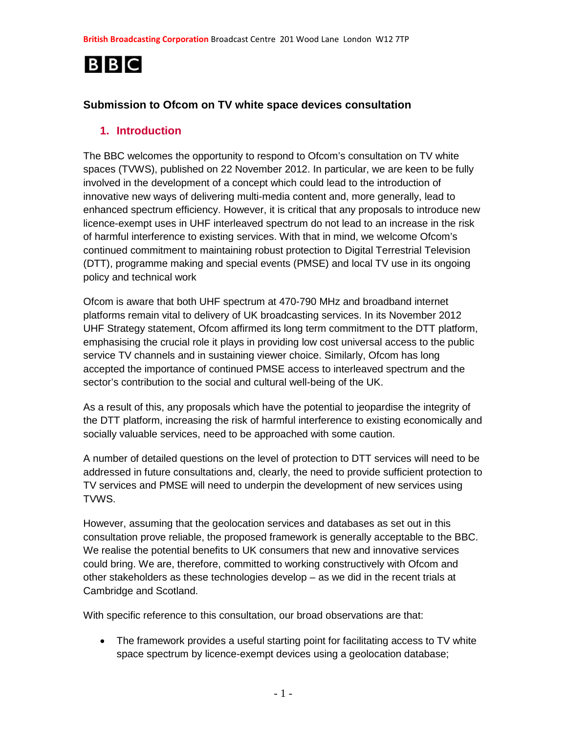# **BBC**

### **Submission to Ofcom on TV white space devices consultation**

### **1. Introduction**

The BBC welcomes the opportunity to respond to Ofcom's consultation on TV white spaces (TVWS), published on 22 November 2012. In particular, we are keen to be fully involved in the development of a concept which could lead to the introduction of innovative new ways of delivering multi-media content and, more generally, lead to enhanced spectrum efficiency. However, it is critical that any proposals to introduce new licence-exempt uses in UHF interleaved spectrum do not lead to an increase in the risk of harmful interference to existing services. With that in mind, we welcome Ofcom's continued commitment to maintaining robust protection to Digital Terrestrial Television (DTT), programme making and special events (PMSE) and local TV use in its ongoing policy and technical work

Ofcom is aware that both UHF spectrum at 470-790 MHz and broadband internet platforms remain vital to delivery of UK broadcasting services. In its November 2012 UHF Strategy statement, Ofcom affirmed its long term commitment to the DTT platform, emphasising the crucial role it plays in providing low cost universal access to the public service TV channels and in sustaining viewer choice. Similarly, Ofcom has long accepted the importance of continued PMSE access to interleaved spectrum and the sector's contribution to the social and cultural well-being of the UK.

As a result of this, any proposals which have the potential to jeopardise the integrity of the DTT platform, increasing the risk of harmful interference to existing economically and socially valuable services, need to be approached with some caution.

A number of detailed questions on the level of protection to DTT services will need to be addressed in future consultations and, clearly, the need to provide sufficient protection to TV services and PMSE will need to underpin the development of new services using TVWS.

However, assuming that the geolocation services and databases as set out in this consultation prove reliable, the proposed framework is generally acceptable to the BBC. We realise the potential benefits to UK consumers that new and innovative services could bring. We are, therefore, committed to working constructively with Ofcom and other stakeholders as these technologies develop – as we did in the recent trials at Cambridge and Scotland.

With specific reference to this consultation, our broad observations are that:

• The framework provides a useful starting point for facilitating access to TV white space spectrum by licence-exempt devices using a geolocation database;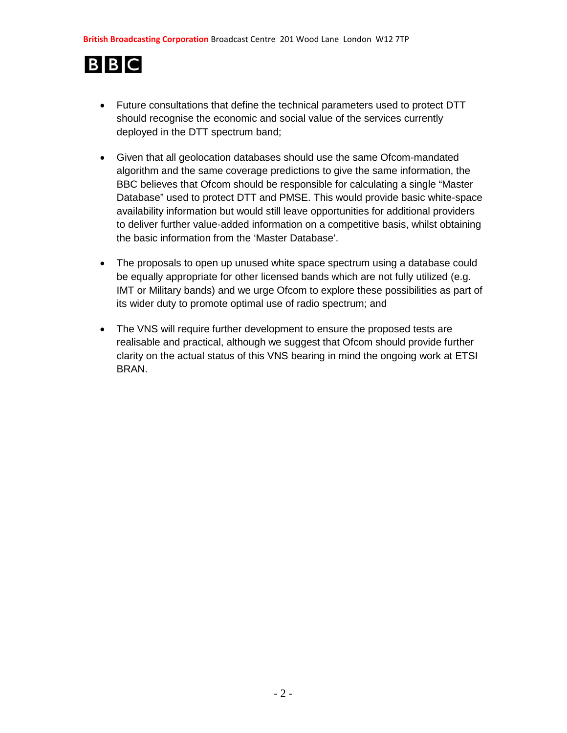# **BBC**

- Future consultations that define the technical parameters used to protect DTT should recognise the economic and social value of the services currently deployed in the DTT spectrum band;
- Given that all geolocation databases should use the same Ofcom-mandated algorithm and the same coverage predictions to give the same information, the BBC believes that Ofcom should be responsible for calculating a single "Master Database" used to protect DTT and PMSE. This would provide basic white-space availability information but would still leave opportunities for additional providers to deliver further value-added information on a competitive basis, whilst obtaining the basic information from the 'Master Database'.
- The proposals to open up unused white space spectrum using a database could be equally appropriate for other licensed bands which are not fully utilized (e.g. IMT or Military bands) and we urge Ofcom to explore these possibilities as part of its wider duty to promote optimal use of radio spectrum; and
- The VNS will require further development to ensure the proposed tests are realisable and practical, although we suggest that Ofcom should provide further clarity on the actual status of this VNS bearing in mind the ongoing work at ETSI BRAN.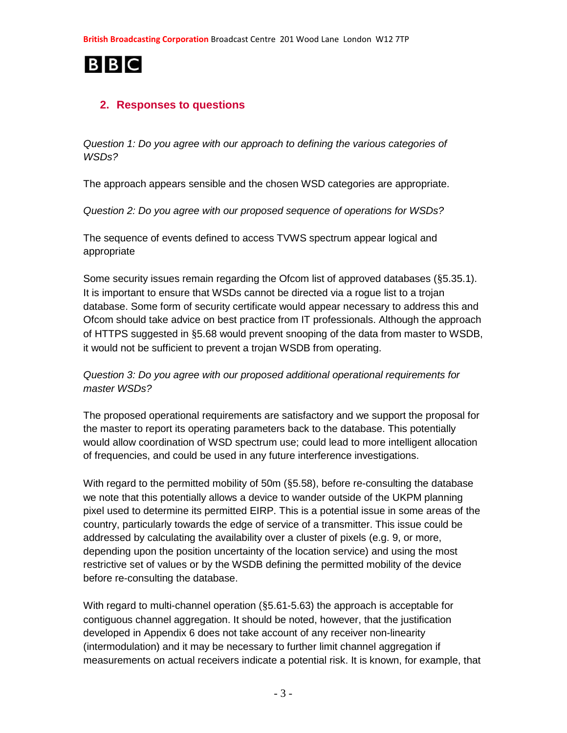

# **2. Responses to questions**

*Question 1: Do you agree with our approach to defining the various categories of WSDs?* 

The approach appears sensible and the chosen WSD categories are appropriate.

*Question 2: Do you agree with our proposed sequence of operations for WSDs?* 

The sequence of events defined to access TVWS spectrum appear logical and appropriate

Some security issues remain regarding the Ofcom list of approved databases (§5.35.1). It is important to ensure that WSDs cannot be directed via a rogue list to a trojan database. Some form of security certificate would appear necessary to address this and Ofcom should take advice on best practice from IT professionals. Although the approach of HTTPS suggested in §5.68 would prevent snooping of the data from master to WSDB, it would not be sufficient to prevent a trojan WSDB from operating.

### *Question 3: Do you agree with our proposed additional operational requirements for master WSDs?*

The proposed operational requirements are satisfactory and we support the proposal for the master to report its operating parameters back to the database. This potentially would allow coordination of WSD spectrum use; could lead to more intelligent allocation of frequencies, and could be used in any future interference investigations.

With regard to the permitted mobility of 50m (§5.58), before re-consulting the database we note that this potentially allows a device to wander outside of the UKPM planning pixel used to determine its permitted EIRP. This is a potential issue in some areas of the country, particularly towards the edge of service of a transmitter. This issue could be addressed by calculating the availability over a cluster of pixels (e.g. 9, or more, depending upon the position uncertainty of the location service) and using the most restrictive set of values or by the WSDB defining the permitted mobility of the device before re-consulting the database.

With regard to multi-channel operation (§5.61-5.63) the approach is acceptable for contiguous channel aggregation. It should be noted, however, that the justification developed in Appendix 6 does not take account of any receiver non-linearity (intermodulation) and it may be necessary to further limit channel aggregation if measurements on actual receivers indicate a potential risk. It is known, for example, that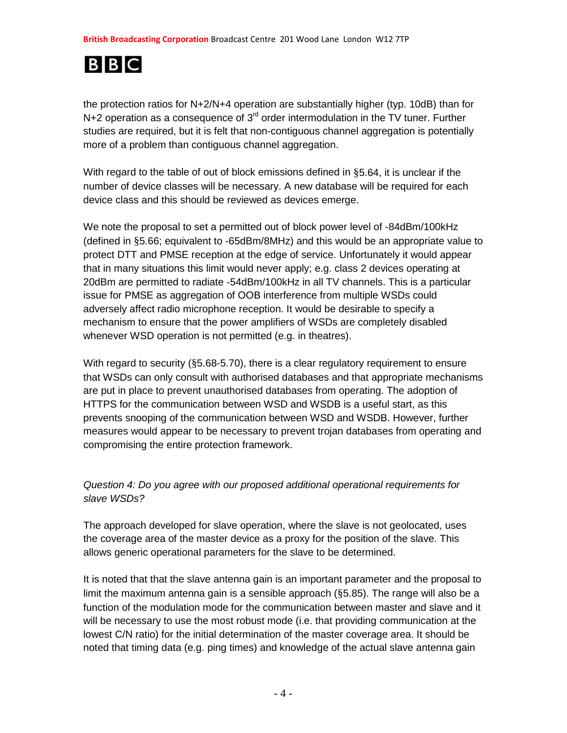# **BBC**

the protection ratios for N+2/N+4 operation are substantially higher (typ. 10dB) than for  $N+2$  operation as a consequence of  $3<sup>rd</sup>$  order intermodulation in the TV tuner. Further studies are required, but it is felt that non-contiguous channel aggregation is potentially more of a problem than contiguous channel aggregation.

With regard to the table of out of block emissions defined in §5.64, it is unclear if the number of device classes will be necessary. A new database will be required for each device class and this should be reviewed as devices emerge.

We note the proposal to set a permitted out of block power level of -84dBm/100kHz (defined in §5.66; equivalent to -65dBm/8MHz) and this would be an appropriate value to protect DTT and PMSE reception at the edge of service. Unfortunately it would appear that in many situations this limit would never apply; e.g. class 2 devices operating at 20dBm are permitted to radiate -54dBm/100kHz in all TV channels. This is a particular issue for PMSE as aggregation of OOB interference from multiple WSDs could adversely affect radio microphone reception. It would be desirable to specify a mechanism to ensure that the power amplifiers of WSDs are completely disabled whenever WSD operation is not permitted (e.g. in theatres).

With regard to security (§5.68-5.70), there is a clear regulatory requirement to ensure that WSDs can only consult with authorised databases and that appropriate mechanisms are put in place to prevent unauthorised databases from operating. The adoption of HTTPS for the communication between WSD and WSDB is a useful start, as this prevents snooping of the communication between WSD and WSDB. However, further measures would appear to be necessary to prevent trojan databases from operating and compromising the entire protection framework.

# *Question 4: Do you agree with our proposed additional operational requirements for slave WSDs?*

The approach developed for slave operation, where the slave is not geolocated, uses the coverage area of the master device as a proxy for the position of the slave. This allows generic operational parameters for the slave to be determined.

It is noted that that the slave antenna gain is an important parameter and the proposal to limit the maximum antenna gain is a sensible approach (§5.85). The range will also be a function of the modulation mode for the communication between master and slave and it will be necessary to use the most robust mode (i.e. that providing communication at the lowest C/N ratio) for the initial determination of the master coverage area. It should be noted that timing data (e.g. ping times) and knowledge of the actual slave antenna gain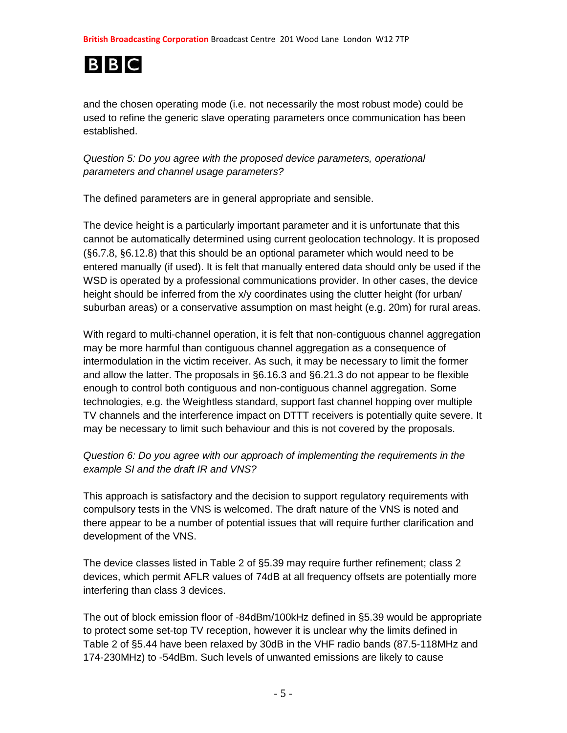

and the chosen operating mode (i.e. not necessarily the most robust mode) could be used to refine the generic slave operating parameters once communication has been established.

*Question 5: Do you agree with the proposed device parameters, operational parameters and channel usage parameters?* 

The defined parameters are in general appropriate and sensible.

The device height is a particularly important parameter and it is unfortunate that this cannot be automatically determined using current geolocation technology. It is proposed  $(\$6.7.8, \$6.12.8)$  that this should be an optional parameter which would need to be entered manually (if used). It is felt that manually entered data should only be used if the WSD is operated by a professional communications provider. In other cases, the device height should be inferred from the x/y coordinates using the clutter height (for urban/ suburban areas) or a conservative assumption on mast height (e.g. 20m) for rural areas.

With regard to multi-channel operation, it is felt that non-contiguous channel aggregation may be more harmful than contiguous channel aggregation as a consequence of intermodulation in the victim receiver. As such, it may be necessary to limit the former and allow the latter. The proposals in §6.16.3 and §6.21.3 do not appear to be flexible enough to control both contiguous and non-contiguous channel aggregation. Some technologies, e.g. the Weightless standard, support fast channel hopping over multiple TV channels and the interference impact on DTTT receivers is potentially quite severe. It may be necessary to limit such behaviour and this is not covered by the proposals.

### *Question 6: Do you agree with our approach of implementing the requirements in the example SI and the draft IR and VNS?*

This approach is satisfactory and the decision to support regulatory requirements with compulsory tests in the VNS is welcomed. The draft nature of the VNS is noted and there appear to be a number of potential issues that will require further clarification and development of the VNS.

The device classes listed in Table 2 of §5.39 may require further refinement; class 2 devices, which permit AFLR values of 74dB at all frequency offsets are potentially more interfering than class 3 devices.

The out of block emission floor of -84dBm/100kHz defined in §5.39 would be appropriate to protect some set-top TV reception, however it is unclear why the limits defined in Table 2 of §5.44 have been relaxed by 30dB in the VHF radio bands (87.5-118MHz and 174-230MHz) to -54dBm. Such levels of unwanted emissions are likely to cause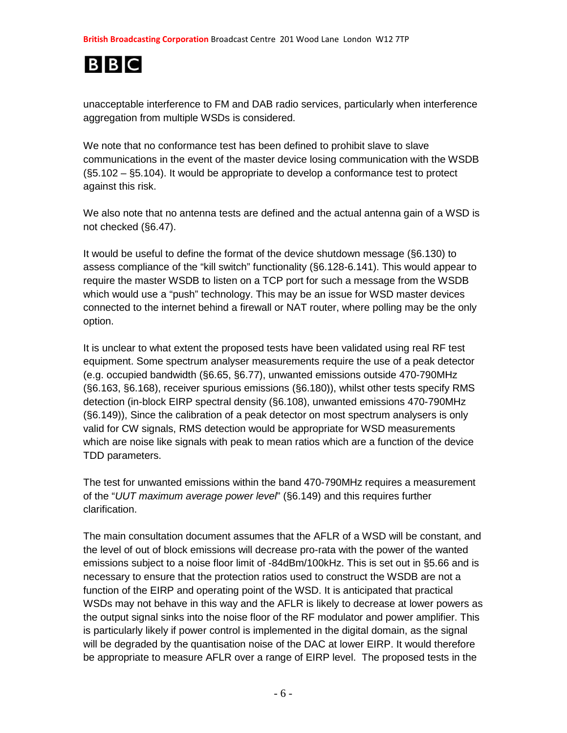

unacceptable interference to FM and DAB radio services, particularly when interference aggregation from multiple WSDs is considered.

We note that no conformance test has been defined to prohibit slave to slave communications in the event of the master device losing communication with the WSDB (§5.102 – §5.104). It would be appropriate to develop a conformance test to protect against this risk.

We also note that no antenna tests are defined and the actual antenna gain of a WSD is not checked (§6.47).

It would be useful to define the format of the device shutdown message (§6.130) to assess compliance of the "kill switch" functionality (§6.128-6.141). This would appear to require the master WSDB to listen on a TCP port for such a message from the WSDB which would use a "push" technology. This may be an issue for WSD master devices connected to the internet behind a firewall or NAT router, where polling may be the only option.

It is unclear to what extent the proposed tests have been validated using real RF test equipment. Some spectrum analyser measurements require the use of a peak detector (e.g. occupied bandwidth (§6.65, §6.77), unwanted emissions outside 470-790MHz (§6.163, §6.168), receiver spurious emissions (§6.180)), whilst other tests specify RMS detection (in-block EIRP spectral density (§6.108), unwanted emissions 470-790MHz (§6.149)), Since the calibration of a peak detector on most spectrum analysers is only valid for CW signals, RMS detection would be appropriate for WSD measurements which are noise like signals with peak to mean ratios which are a function of the device TDD parameters.

The test for unwanted emissions within the band 470-790MHz requires a measurement of the "*UUT maximum average power level*" (§6.149) and this requires further clarification.

The main consultation document assumes that the AFLR of a WSD will be constant, and the level of out of block emissions will decrease pro-rata with the power of the wanted emissions subject to a noise floor limit of -84dBm/100kHz. This is set out in §5.66 and is necessary to ensure that the protection ratios used to construct the WSDB are not a function of the EIRP and operating point of the WSD. It is anticipated that practical WSDs may not behave in this way and the AFLR is likely to decrease at lower powers as the output signal sinks into the noise floor of the RF modulator and power amplifier. This is particularly likely if power control is implemented in the digital domain, as the signal will be degraded by the quantisation noise of the DAC at lower EIRP. It would therefore be appropriate to measure AFLR over a range of EIRP level. The proposed tests in the